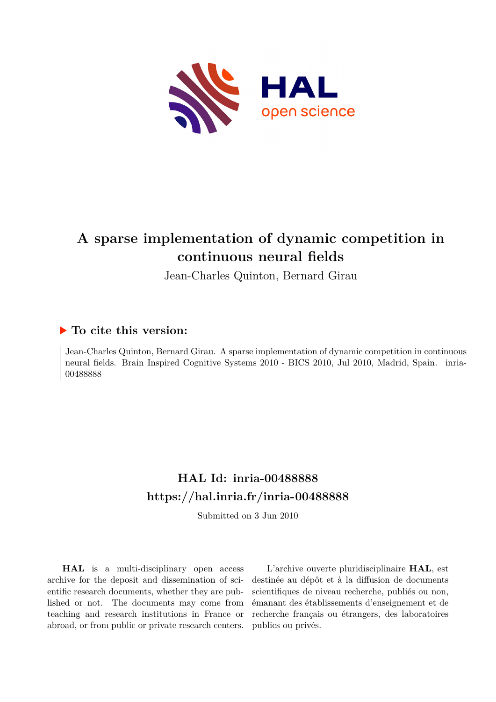

# **A sparse implementation of dynamic competition in continuous neural fields**

Jean-Charles Quinton, Bernard Girau

# **To cite this version:**

Jean-Charles Quinton, Bernard Girau. A sparse implementation of dynamic competition in continuous neural fields. Brain Inspired Cognitive Systems 2010 - BICS 2010, Jul 2010, Madrid, Spain. inria-00488888

# **HAL Id: inria-00488888 <https://hal.inria.fr/inria-00488888>**

Submitted on 3 Jun 2010

**HAL** is a multi-disciplinary open access archive for the deposit and dissemination of scientific research documents, whether they are published or not. The documents may come from teaching and research institutions in France or abroad, or from public or private research centers.

L'archive ouverte pluridisciplinaire **HAL**, est destinée au dépôt et à la diffusion de documents scientifiques de niveau recherche, publiés ou non, émanant des établissements d'enseignement et de recherche français ou étrangers, des laboratoires publics ou privés.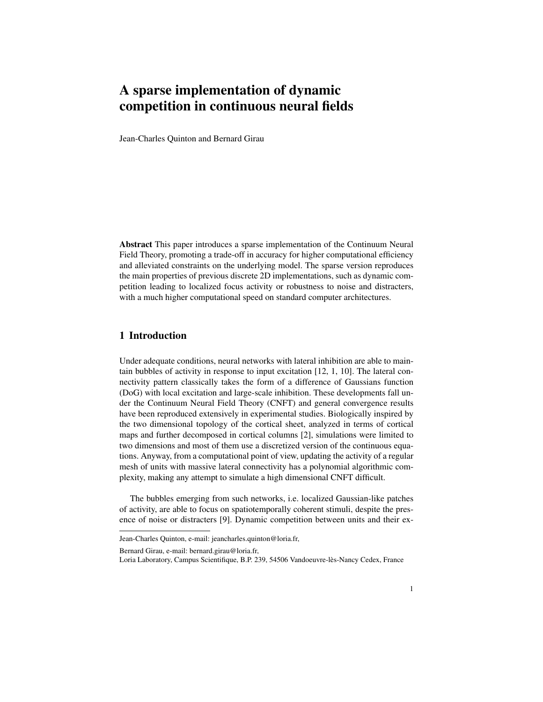# A sparse implementation of dynamic competition in continuous neural fields

Jean-Charles Quinton and Bernard Girau

Abstract This paper introduces a sparse implementation of the Continuum Neural Field Theory, promoting a trade-off in accuracy for higher computational efficiency and alleviated constraints on the underlying model. The sparse version reproduces the main properties of previous discrete 2D implementations, such as dynamic competition leading to localized focus activity or robustness to noise and distracters, with a much higher computational speed on standard computer architectures.

# 1 Introduction

Under adequate conditions, neural networks with lateral inhibition are able to maintain bubbles of activity in response to input excitation [12, 1, 10]. The lateral connectivity pattern classically takes the form of a difference of Gaussians function (DoG) with local excitation and large-scale inhibition. These developments fall under the Continuum Neural Field Theory (CNFT) and general convergence results have been reproduced extensively in experimental studies. Biologically inspired by the two dimensional topology of the cortical sheet, analyzed in terms of cortical maps and further decomposed in cortical columns [2], simulations were limited to two dimensions and most of them use a discretized version of the continuous equations. Anyway, from a computational point of view, updating the activity of a regular mesh of units with massive lateral connectivity has a polynomial algorithmic complexity, making any attempt to simulate a high dimensional CNFT difficult.

The bubbles emerging from such networks, i.e. localized Gaussian-like patches of activity, are able to focus on spatiotemporally coherent stimuli, despite the presence of noise or distracters [9]. Dynamic competition between units and their ex-

Bernard Girau, e-mail: bernard.girau@loria.fr,

Jean-Charles Quinton, e-mail: jeancharles.quinton@loria.fr,

Loria Laboratory, Campus Scientifique, B.P. 239, 54506 Vandoeuvre-lès-Nancy Cedex, France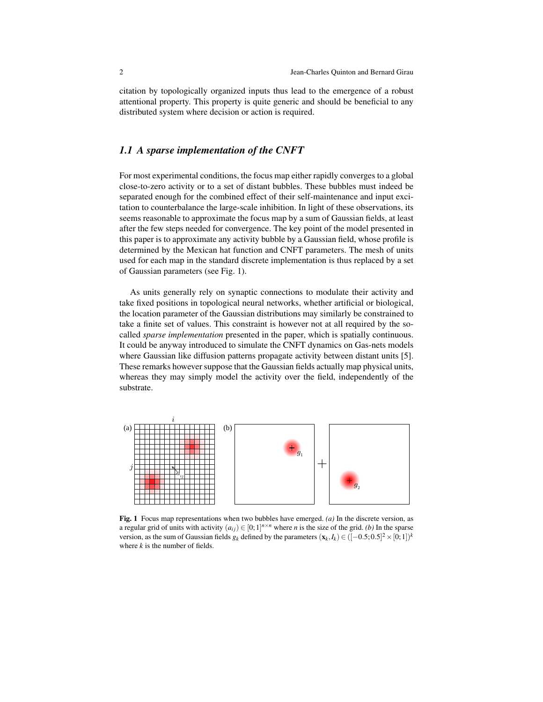citation by topologically organized inputs thus lead to the emergence of a robust attentional property. This property is quite generic and should be beneficial to any distributed system where decision or action is required.

## *1.1 A sparse implementation of the CNFT*

For most experimental conditions, the focus map either rapidly converges to a global close-to-zero activity or to a set of distant bubbles. These bubbles must indeed be separated enough for the combined effect of their self-maintenance and input excitation to counterbalance the large-scale inhibition. In light of these observations, its seems reasonable to approximate the focus map by a sum of Gaussian fields, at least after the few steps needed for convergence. The key point of the model presented in this paper is to approximate any activity bubble by a Gaussian field, whose profile is determined by the Mexican hat function and CNFT parameters. The mesh of units used for each map in the standard discrete implementation is thus replaced by a set of Gaussian parameters (see Fig. 1).

As units generally rely on synaptic connections to modulate their activity and take fixed positions in topological neural networks, whether artificial or biological, the location parameter of the Gaussian distributions may similarly be constrained to take a finite set of values. This constraint is however not at all required by the socalled *sparse implementation* presented in the paper, which is spatially continuous. It could be anyway introduced to simulate the CNFT dynamics on Gas-nets models where Gaussian like diffusion patterns propagate activity between distant units [5]. These remarks however suppose that the Gaussian fields actually map physical units, whereas they may simply model the activity over the field, independently of the substrate.



Fig. 1 Focus map representations when two bubbles have emerged. *(a)* In the discrete version, as a regular grid of units with activity  $(a_{ij}) \in [0; 1]^{n \times n}$  where *n* is the size of the grid. *(b)* In the sparse version, as the sum of Gaussian fields  $g_k$  defined by the parameters  $(\mathbf{x}_k, I_k) \in ([-0.5; 0.5]^2 \times [0; 1])^k$ where *k* is the number of fields.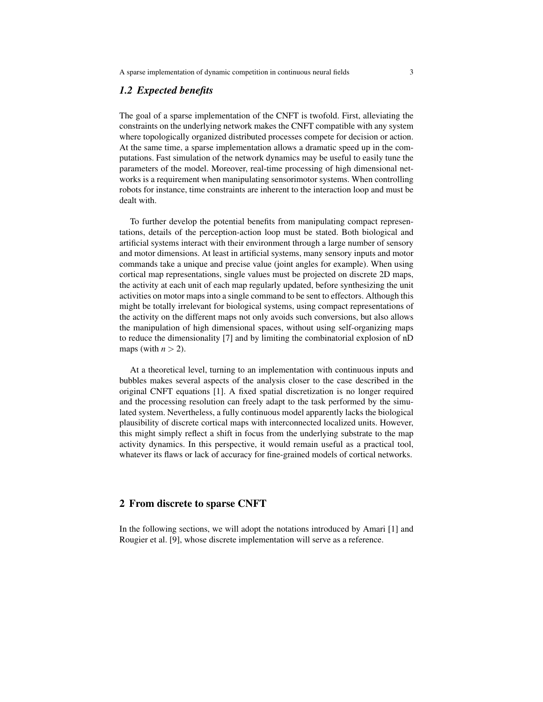#### *1.2 Expected benefits*

The goal of a sparse implementation of the CNFT is twofold. First, alleviating the constraints on the underlying network makes the CNFT compatible with any system where topologically organized distributed processes compete for decision or action. At the same time, a sparse implementation allows a dramatic speed up in the computations. Fast simulation of the network dynamics may be useful to easily tune the parameters of the model. Moreover, real-time processing of high dimensional networks is a requirement when manipulating sensorimotor systems. When controlling robots for instance, time constraints are inherent to the interaction loop and must be dealt with.

To further develop the potential benefits from manipulating compact representations, details of the perception-action loop must be stated. Both biological and artificial systems interact with their environment through a large number of sensory and motor dimensions. At least in artificial systems, many sensory inputs and motor commands take a unique and precise value (joint angles for example). When using cortical map representations, single values must be projected on discrete 2D maps, the activity at each unit of each map regularly updated, before synthesizing the unit activities on motor maps into a single command to be sent to effectors. Although this might be totally irrelevant for biological systems, using compact representations of the activity on the different maps not only avoids such conversions, but also allows the manipulation of high dimensional spaces, without using self-organizing maps to reduce the dimensionality [7] and by limiting the combinatorial explosion of nD maps (with  $n > 2$ ).

At a theoretical level, turning to an implementation with continuous inputs and bubbles makes several aspects of the analysis closer to the case described in the original CNFT equations [1]. A fixed spatial discretization is no longer required and the processing resolution can freely adapt to the task performed by the simulated system. Nevertheless, a fully continuous model apparently lacks the biological plausibility of discrete cortical maps with interconnected localized units. However, this might simply reflect a shift in focus from the underlying substrate to the map activity dynamics. In this perspective, it would remain useful as a practical tool, whatever its flaws or lack of accuracy for fine-grained models of cortical networks.

#### 2 From discrete to sparse CNFT

In the following sections, we will adopt the notations introduced by Amari [1] and Rougier et al. [9], whose discrete implementation will serve as a reference.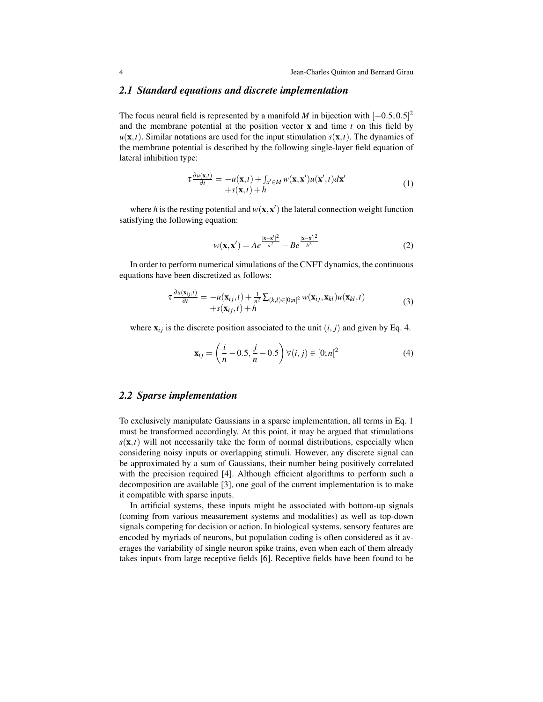#### *2.1 Standard equations and discrete implementation*

The focus neural field is represented by a manifold *M* in bijection with  $[-0.5, 0.5]^2$ and the membrane potential at the position vector x and time *t* on this field by  $u(\mathbf{x},t)$ . Similar notations are used for the input stimulation  $s(\mathbf{x},t)$ . The dynamics of the membrane potential is described by the following single-layer field equation of lateral inhibition type:

$$
\tau \frac{\partial u(\mathbf{x},t)}{\partial t} = -u(\mathbf{x},t) + \int_{x' \in M} w(\mathbf{x}, \mathbf{x}') u(\mathbf{x}',t) d\mathbf{x}' +s(\mathbf{x},t) + h
$$
\n(1)

where *h* is the resting potential and  $w(\mathbf{x}, \mathbf{x}')$  the lateral connection weight function satisfying the following equation:

$$
w(\mathbf{x}, \mathbf{x}') = Ae^{\frac{|\mathbf{x} - \mathbf{x}'|^2}{a^2}} - Be^{\frac{|\mathbf{x} - \mathbf{x}'|^2}{b^2}}
$$
 (2)

In order to perform numerical simulations of the CNFT dynamics, the continuous equations have been discretized as follows:

$$
\tau \frac{\partial u(\mathbf{x}_{ij},t)}{\partial t} = -u(\mathbf{x}_{ij},t) + \frac{1}{n^2} \sum_{(k,l) \in [0;n]^2} w(\mathbf{x}_{ij},\mathbf{x}_{kl}) u(\mathbf{x}_{kl},t) +s(\mathbf{x}_{ij},t) + h
$$
\n(3)

where  $\mathbf{x}_{ij}$  is the discrete position associated to the unit  $(i, j)$  and given by Eq. 4.

$$
\mathbf{x}_{ij} = \left(\frac{i}{n} - 0.5, \frac{j}{n} - 0.5\right) \forall (i, j) \in [0; n[^2 \tag{4})
$$

#### *2.2 Sparse implementation*

To exclusively manipulate Gaussians in a sparse implementation, all terms in Eq. 1 must be transformed accordingly. At this point, it may be argued that stimulations  $s(\mathbf{x},t)$  will not necessarily take the form of normal distributions, especially when considering noisy inputs or overlapping stimuli. However, any discrete signal can be approximated by a sum of Gaussians, their number being positively correlated with the precision required [4]. Although efficient algorithms to perform such a decomposition are available [3], one goal of the current implementation is to make it compatible with sparse inputs.

In artificial systems, these inputs might be associated with bottom-up signals (coming from various measurement systems and modalities) as well as top-down signals competing for decision or action. In biological systems, sensory features are encoded by myriads of neurons, but population coding is often considered as it averages the variability of single neuron spike trains, even when each of them already takes inputs from large receptive fields [6]. Receptive fields have been found to be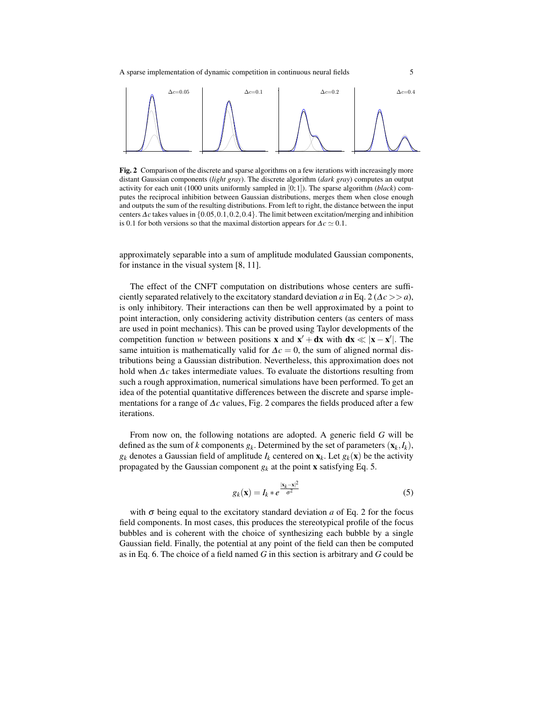

Fig. 2 Comparison of the discrete and sparse algorithms on a few iterations with increasingly more distant Gaussian components (*light gray*). The discrete algorithm (*dark gray*) computes an output activity for each unit (1000 units uniformly sampled in [0; 1]). The sparse algorithm (*black*) computes the reciprocal inhibition between Gaussian distributions, merges them when close enough and outputs the sum of the resulting distributions. From left to right, the distance between the input centers ∆*c* takes values in {0.05,0.1,0.2,0.4}. The limit between excitation/merging and inhibition is 0.1 for both versions so that the maximal distortion appears for  $\Delta c \simeq 0.1$ .

approximately separable into a sum of amplitude modulated Gaussian components, for instance in the visual system [8, 11].

The effect of the CNFT computation on distributions whose centers are sufficiently separated relatively to the excitatory standard deviation *a* in Eq. 2 ( $\Delta c$  >> *a*), is only inhibitory. Their interactions can then be well approximated by a point to point interaction, only considering activity distribution centers (as centers of mass are used in point mechanics). This can be proved using Taylor developments of the competition function *w* between positions **x** and  $x' + dx$  with  $dx \ll |x - x'|$ . The same intuition is mathematically valid for  $\Delta c = 0$ , the sum of aligned normal distributions being a Gaussian distribution. Nevertheless, this approximation does not hold when ∆*c* takes intermediate values. To evaluate the distortions resulting from such a rough approximation, numerical simulations have been performed. To get an idea of the potential quantitative differences between the discrete and sparse implementations for a range of ∆*c* values, Fig. 2 compares the fields produced after a few iterations.

From now on, the following notations are adopted. A generic field *G* will be defined as the sum of *k* components  $g_k$ . Determined by the set of parameters  $(\mathbf{x}_k, I_k)$ ,  $g_k$  denotes a Gaussian field of amplitude  $I_k$  centered on  $\mathbf{x}_k$ . Let  $g_k(\mathbf{x})$  be the activity propagated by the Gaussian component  $g_k$  at the point **x** satisfying Eq. 5.

$$
g_k(\mathbf{x}) = I_k * e^{\frac{|\mathbf{x}_k - \mathbf{x}|^2}{\sigma^2}}
$$
\n
$$
(5)
$$

with  $\sigma$  being equal to the excitatory standard deviation *a* of Eq. 2 for the focus field components. In most cases, this produces the stereotypical profile of the focus bubbles and is coherent with the choice of synthesizing each bubble by a single Gaussian field. Finally, the potential at any point of the field can then be computed as in Eq. 6. The choice of a field named *G* in this section is arbitrary and *G* could be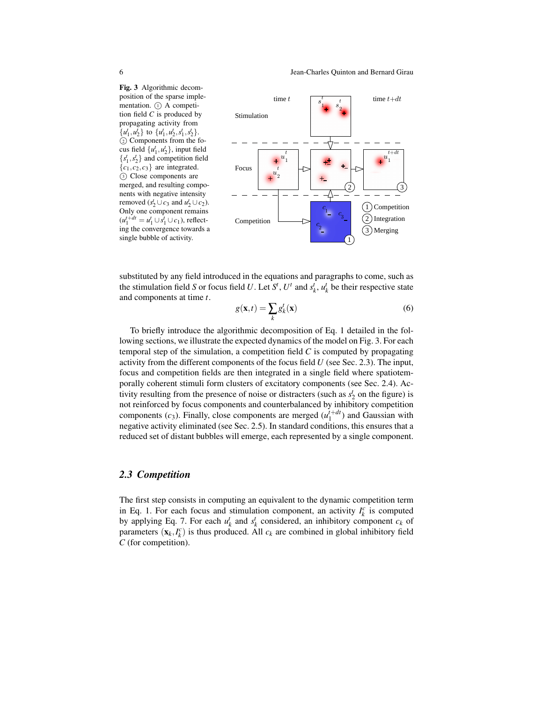Fig. 3 Algorithmic decomposition of the sparse implementation.  $(1)$  A competition field *C* is produced by propagating activity from  $\{u_1^t, u_2^t\}$  to  $\{u_1^t, u_2^t, s_1^t, s_2^t\}.$  <sup>2</sup> Components from the focus field  $\{u_1^t, u_2^t\}$ , input field  ${s<sub>1</sub>, s<sub>2</sub>}$  and competition field  ${c_1, c_2, c_3}$  are integrated. <sup>3</sup> Close components are merged, and resulting components with negative intensity removed  $(s_2^t \cup c_3 \text{ and } u_2^t \cup c_2)$ . Only one component remains  $(u_1^{t+dt} = u_1^t \cup s_1^t \cup c_1)$ , reflecting the convergence towards a single bubble of activity.



substituted by any field introduced in the equations and paragraphs to come, such as the stimulation field *S* or focus field *U*. Let *S*<sup>*t*</sup>, *U<sup>t</sup>* and  $s_k^t$ ,  $u_k^t$  be their respective state and components at time *t*.

$$
g(\mathbf{x},t) = \sum_{k} g_k^t(\mathbf{x})
$$
\n(6)

To briefly introduce the algorithmic decomposition of Eq. 1 detailed in the following sections, we illustrate the expected dynamics of the model on Fig. 3. For each temporal step of the simulation, a competition field *C* is computed by propagating activity from the different components of the focus field *U* (see Sec. 2.3). The input, focus and competition fields are then integrated in a single field where spatiotemporally coherent stimuli form clusters of excitatory components (see Sec. 2.4). Activity resulting from the presence of noise or distracters (such as  $s_2^t$  on the figure) is not reinforced by focus components and counterbalanced by inhibitory competition components  $(c_3)$ . Finally, close components are merged  $(u_1^{t+dt})$  and Gaussian with negative activity eliminated (see Sec. 2.5). In standard conditions, this ensures that a reduced set of distant bubbles will emerge, each represented by a single component.

#### *2.3 Competition*

The first step consists in computing an equivalent to the dynamic competition term in Eq. 1. For each focus and stimulation component, an activity  $I_k^c$  is computed by applying Eq. 7. For each  $u_k^t$  and  $s_k^t$  considered, an inhibitory component  $c_k$  of parameters  $(\mathbf{x}_k, I_k^c)$  is thus produced. All  $c_k$  are combined in global inhibitory field *C* (for competition).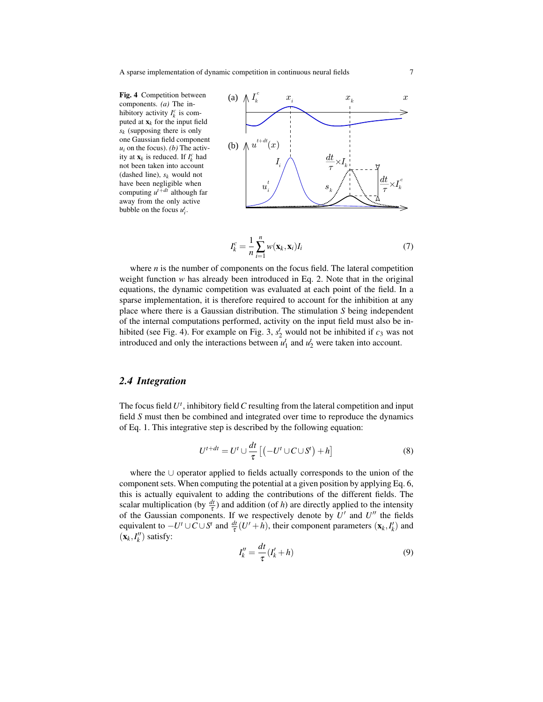Fig. 4 Competition between components. *(a)* The inhibitory activity  $I_k^c$  is computed at  $\mathbf{x}_k$  for the input field *s<sup>k</sup>* (supposing there is only one Gaussian field component  $u_i$  on the focus). *(b)* The activity at  $\mathbf{x}_k$  is reduced. If  $I_k^c$  had not been taken into account (dashed line), *s<sup>k</sup>* would not have been negligible when computing *u <sup>t</sup>*+*dt* although far away from the only active bubble on the focus  $u_i^t$ .



$$
I_k^c = \frac{1}{n} \sum_{i=1}^n w(\mathbf{x}_k, \mathbf{x}_i) I_i
$$
 (7)

where  $n$  is the number of components on the focus field. The lateral competition weight function *w* has already been introduced in Eq. 2. Note that in the original equations, the dynamic competition was evaluated at each point of the field. In a sparse implementation, it is therefore required to account for the inhibition at any place where there is a Gaussian distribution. The stimulation *S* being independent of the internal computations performed, activity on the input field must also be inhibited (see Fig. 4). For example on Fig. 3,  $s_2^t$  would not be inhibited if  $c_3$  was not introduced and only the interactions between  $u_1^t$  and  $u_2^t$  were taken into account.

### *2.4 Integration*

The focus field  $U^t$ , inhibitory field  $C$  resulting from the lateral competition and input field *S* must then be combined and integrated over time to reproduce the dynamics of Eq. 1. This integrative step is described by the following equation:

$$
U^{t+dt} = U^t \cup \frac{dt}{\tau} \left[ \left( -U^t \cup C \cup S^t \right) + h \right]
$$
 (8)

where the ∪ operator applied to fields actually corresponds to the union of the component sets. When computing the potential at a given position by applying Eq. 6, this is actually equivalent to adding the contributions of the different fields. The scalar multiplication (by  $\frac{dt}{\tau}$ ) and addition (of *h*) are directly applied to the intensity of the Gaussian components. If we respectively denote by  $U'$  and  $U''$  the fields equivalent to  $-U^t \cup C \cup S^t$  and  $\frac{dt}{\tau}(U^{\prime} + h)$ , their component parameters  $(\mathbf{x}_k, I^{\prime}_k)$  and  $(\mathbf{x}_k, I_k'')$  satisfy:

$$
I''_k = \frac{dt}{\tau} (I'_k + h) \tag{9}
$$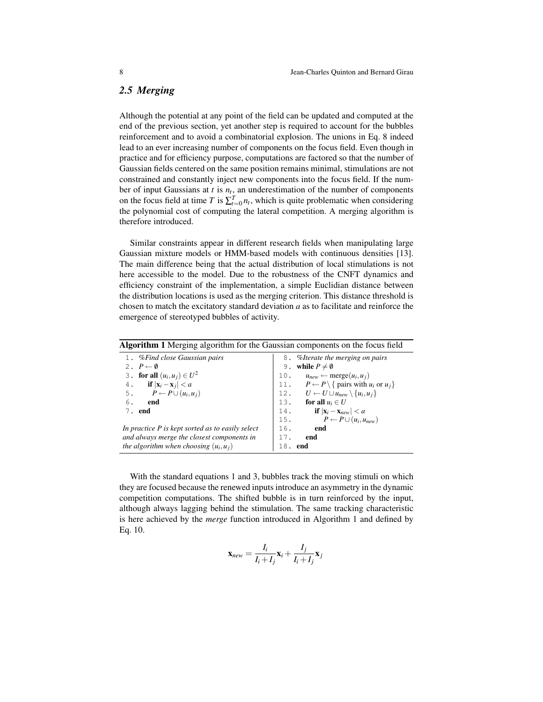# *2.5 Merging*

Although the potential at any point of the field can be updated and computed at the end of the previous section, yet another step is required to account for the bubbles reinforcement and to avoid a combinatorial explosion. The unions in Eq. 8 indeed lead to an ever increasing number of components on the focus field. Even though in practice and for efficiency purpose, computations are factored so that the number of Gaussian fields centered on the same position remains minimal, stimulations are not constrained and constantly inject new components into the focus field. If the number of input Gaussians at  $t$  is  $n_t$ , an underestimation of the number of components on the focus field at time *T* is  $\sum_{t=0}^{T} n_t$ , which is quite problematic when considering the polynomial cost of computing the lateral competition. A merging algorithm is therefore introduced.

Similar constraints appear in different research fields when manipulating large Gaussian mixture models or HMM-based models with continuous densities [13]. The main difference being that the actual distribution of local stimulations is not here accessible to the model. Due to the robustness of the CNFT dynamics and efficiency constraint of the implementation, a simple Euclidian distance between the distribution locations is used as the merging criterion. This distance threshold is chosen to match the excitatory standard deviation *a* as to facilitate and reinforce the emergence of stereotyped bubbles of activity.

| <b>Algorithm 1</b> Merging algorithm for the Gaussian components on the focus field |                                                                              |  |  |  |
|-------------------------------------------------------------------------------------|------------------------------------------------------------------------------|--|--|--|
| 1. % Find close Gaussian pairs                                                      | 8. % <i>differate the merging on pairs</i>                                   |  |  |  |
| 2. $P \leftarrow \emptyset$                                                         | while $P\neq\emptyset$<br>9.                                                 |  |  |  |
| 3. for all $(u_i, u_j) \in U^2$                                                     | 10. $u_{new} \leftarrow merge(u_i, u_i)$                                     |  |  |  |
| 4. if $ \mathbf{x}_i - \mathbf{x}_j  < a$                                           | 11. $P \leftarrow P \setminus \{ \text{ pairs with } u_i \text{ or } u_j \}$ |  |  |  |
| 5. $P \leftarrow P \cup (u_i, u_j)$                                                 | 12. $U \leftarrow U \cup u_{new} \setminus \{u_i, u_j\}$                     |  |  |  |
| 6.<br>end                                                                           | 13. for all $u_i \in U$                                                      |  |  |  |
| 7. end                                                                              | if $ \mathbf{x}_i - \mathbf{x}_{new}  < a$<br>14.                            |  |  |  |
|                                                                                     | 15. $P \leftarrow P \cup (u_i, u_{new})$                                     |  |  |  |
| In practice P is kept sorted as to easily select                                    | 16.<br>end                                                                   |  |  |  |
| and always merge the closest components in                                          | 17.<br>end                                                                   |  |  |  |
| the algorithm when choosing $(u_i, u_j)$                                            | end<br>18.                                                                   |  |  |  |

With the standard equations 1 and 3, bubbles track the moving stimuli on which they are focused because the renewed inputs introduce an asymmetry in the dynamic competition computations. The shifted bubble is in turn reinforced by the input, although always lagging behind the stimulation. The same tracking characteristic is here achieved by the *merge* function introduced in Algorithm 1 and defined by Eq. 10.

$$
\mathbf{x}_{new} = \frac{I_i}{I_i + I_j} \mathbf{x}_i + \frac{I_j}{I_i + I_j} \mathbf{x}_j
$$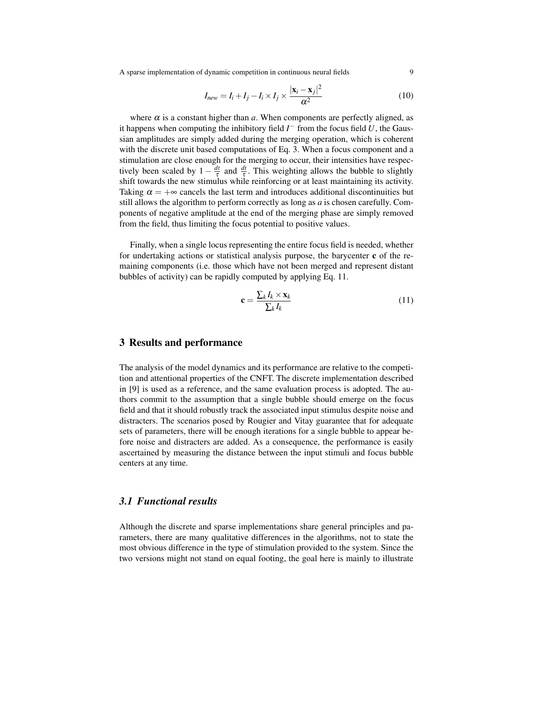A sparse implementation of dynamic competition in continuous neural fields 9

$$
I_{new} = I_i + I_j - I_i \times I_j \times \frac{|\mathbf{x}_i - \mathbf{x}_j|^2}{\alpha^2}
$$
 (10)

where  $\alpha$  is a constant higher than  $\alpha$ . When components are perfectly aligned, as it happens when computing the inhibitory field  $I^-$  from the focus field  $U$ , the Gaussian amplitudes are simply added during the merging operation, which is coherent with the discrete unit based computations of Eq. 3. When a focus component and a stimulation are close enough for the merging to occur, their intensities have respectively been scaled by  $1 - \frac{dt}{\tau}$  $\frac{dt}{\tau}$  and  $\frac{dt}{\tau}$ . This weighting allows the bubble to slightly shift towards the new stimulus while reinforcing or at least maintaining its activity. Taking  $\alpha = +\infty$  cancels the last term and introduces additional discontinuities but still allows the algorithm to perform correctly as long as *a* is chosen carefully. Components of negative amplitude at the end of the merging phase are simply removed from the field, thus limiting the focus potential to positive values.

Finally, when a single locus representing the entire focus field is needed, whether for undertaking actions or statistical analysis purpose, the barycenter c of the remaining components (i.e. those which have not been merged and represent distant bubbles of activity) can be rapidly computed by applying Eq. 11.

$$
\mathbf{c} = \frac{\sum_{k} I_k \times \mathbf{x}_k}{\sum_{k} I_k} \tag{11}
$$

#### 3 Results and performance

The analysis of the model dynamics and its performance are relative to the competition and attentional properties of the CNFT. The discrete implementation described in [9] is used as a reference, and the same evaluation process is adopted. The authors commit to the assumption that a single bubble should emerge on the focus field and that it should robustly track the associated input stimulus despite noise and distracters. The scenarios posed by Rougier and Vitay guarantee that for adequate sets of parameters, there will be enough iterations for a single bubble to appear before noise and distracters are added. As a consequence, the performance is easily ascertained by measuring the distance between the input stimuli and focus bubble centers at any time.

#### *3.1 Functional results*

Although the discrete and sparse implementations share general principles and parameters, there are many qualitative differences in the algorithms, not to state the most obvious difference in the type of stimulation provided to the system. Since the two versions might not stand on equal footing, the goal here is mainly to illustrate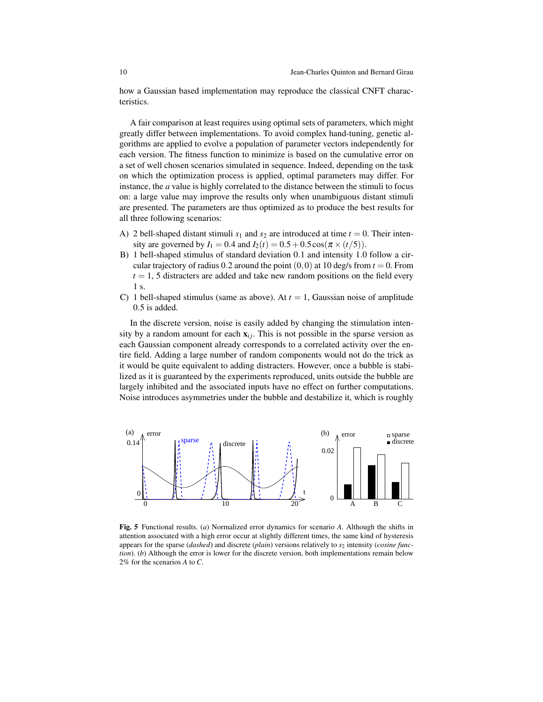how a Gaussian based implementation may reproduce the classical CNFT characteristics.

A fair comparison at least requires using optimal sets of parameters, which might greatly differ between implementations. To avoid complex hand-tuning, genetic algorithms are applied to evolve a population of parameter vectors independently for each version. The fitness function to minimize is based on the cumulative error on a set of well chosen scenarios simulated in sequence. Indeed, depending on the task on which the optimization process is applied, optimal parameters may differ. For instance, the *a* value is highly correlated to the distance between the stimuli to focus on: a large value may improve the results only when unambiguous distant stimuli are presented. The parameters are thus optimized as to produce the best results for all three following scenarios:

- A) 2 bell-shaped distant stimuli  $s_1$  and  $s_2$  are introduced at time  $t = 0$ . Their intensity are governed by  $I_1 = 0.4$  and  $I_2(t) = 0.5 + 0.5 \cos(\pi \times (t/5)).$
- B) 1 bell-shaped stimulus of standard deviation 0.1 and intensity 1.0 follow a circular trajectory of radius 0.2 around the point  $(0,0)$  at 10 deg/s from  $t = 0$ . From  $t = 1$ , 5 distracters are added and take new random positions on the field every 1 s.
- C) 1 bell-shaped stimulus (same as above). At  $t = 1$ , Gaussian noise of amplitude 0.5 is added.

In the discrete version, noise is easily added by changing the stimulation intensity by a random amount for each  $x_{ij}$ . This is not possible in the sparse version as each Gaussian component already corresponds to a correlated activity over the entire field. Adding a large number of random components would not do the trick as it would be quite equivalent to adding distracters. However, once a bubble is stabilized as it is guaranteed by the experiments reproduced, units outside the bubble are largely inhibited and the associated inputs have no effect on further computations. Noise introduces asymmetries under the bubble and destabilize it, which is roughly



Fig. 5 Functional results. (*a*) Normalized error dynamics for scenario *A*. Although the shifts in attention associated with a high error occur at slightly different times, the same kind of hysteresis appears for the sparse (*dashed*) and discrete (*plain*) versions relatively to *s*<sup>2</sup> intensity (*cosine function*). (*b*) Although the error is lower for the discrete version, both implementations remain below 2% for the scenarios *A* to *C*.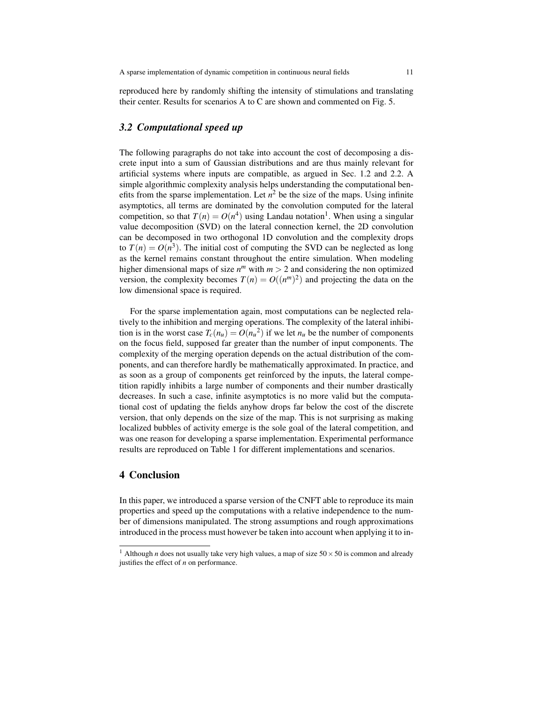reproduced here by randomly shifting the intensity of stimulations and translating their center. Results for scenarios A to C are shown and commented on Fig. 5.

## *3.2 Computational speed up*

The following paragraphs do not take into account the cost of decomposing a discrete input into a sum of Gaussian distributions and are thus mainly relevant for artificial systems where inputs are compatible, as argued in Sec. 1.2 and 2.2. A simple algorithmic complexity analysis helps understanding the computational benefits from the sparse implementation. Let  $n^2$  be the size of the maps. Using infinite asymptotics, all terms are dominated by the convolution computed for the lateral competition, so that  $T(n) = O(n^4)$  using Landau notation<sup>1</sup>. When using a singular value decomposition (SVD) on the lateral connection kernel, the 2D convolution can be decomposed in two orthogonal 1D convolution and the complexity drops to  $T(n) = O(n^3)$ . The initial cost of computing the SVD can be neglected as long as the kernel remains constant throughout the entire simulation. When modeling higher dimensional maps of size  $n^m$  with  $m > 2$  and considering the non optimized version, the complexity becomes  $T(n) = O((n^m)^2)$  and projecting the data on the low dimensional space is required.

For the sparse implementation again, most computations can be neglected relatively to the inhibition and merging operations. The complexity of the lateral inhibition is in the worst case  $T_c(n_u) = O(n_u^2)$  if we let  $n_u$  be the number of components on the focus field, supposed far greater than the number of input components. The complexity of the merging operation depends on the actual distribution of the components, and can therefore hardly be mathematically approximated. In practice, and as soon as a group of components get reinforced by the inputs, the lateral competition rapidly inhibits a large number of components and their number drastically decreases. In such a case, infinite asymptotics is no more valid but the computational cost of updating the fields anyhow drops far below the cost of the discrete version, that only depends on the size of the map. This is not surprising as making localized bubbles of activity emerge is the sole goal of the lateral competition, and was one reason for developing a sparse implementation. Experimental performance results are reproduced on Table 1 for different implementations and scenarios.

# 4 Conclusion

In this paper, we introduced a sparse version of the CNFT able to reproduce its main properties and speed up the computations with a relative independence to the number of dimensions manipulated. The strong assumptions and rough approximations introduced in the process must however be taken into account when applying it to in-

<sup>&</sup>lt;sup>1</sup> Although *n* does not usually take very high values, a map of size  $50 \times 50$  is common and already justifies the effect of *n* on performance.